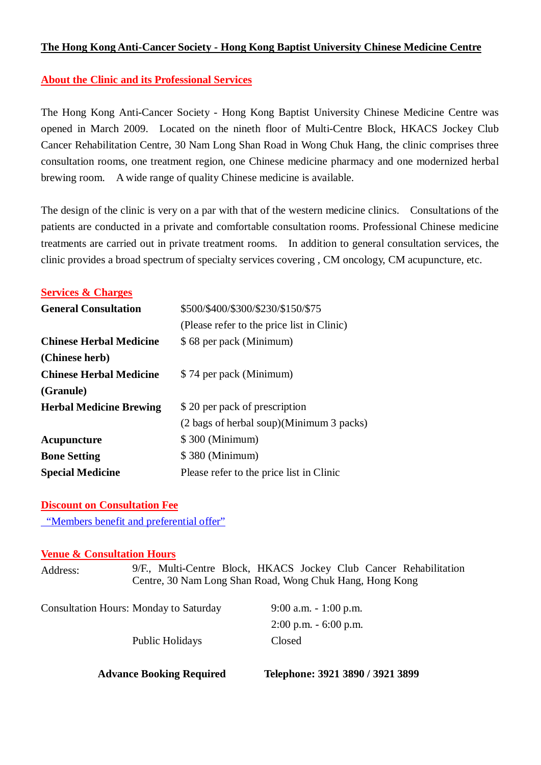## **The Hong Kong Anti-Cancer Society - Hong Kong Baptist University Chinese Medicine Centre**

## **About the Clinic and its Professional Services**

The Hong Kong Anti-Cancer Society - Hong Kong Baptist University Chinese Medicine Centre was opened in March 2009. Located on the nineth floor of Multi-Centre Block, HKACS Jockey Club Cancer Rehabilitation Centre, 30 Nam Long Shan Road in Wong Chuk Hang, the clinic comprises three consultation rooms, one treatment region, one Chinese medicine pharmacy and one modernized herbal brewing room. A wide range of quality Chinese medicine is available.

The design of the clinic is very on a par with that of the western medicine clinics. Consultations of the patients are conducted in a private and comfortable consultation rooms. Professional Chinese medicine treatments are carried out in private treatment rooms. In addition to general consultation services, the clinic provides a broad spectrum of specialty services covering , CM oncology, CM acupuncture, etc.

#### **Services & Charges**

| <b>General Consultation</b>    | \$500/\$400/\$300/\$230/\$150/\$75         |  |
|--------------------------------|--------------------------------------------|--|
|                                | (Please refer to the price list in Clinic) |  |
| <b>Chinese Herbal Medicine</b> | \$68 per pack (Minimum)                    |  |
| (Chinese herb)                 |                                            |  |
| <b>Chinese Herbal Medicine</b> | \$74 per pack (Minimum)                    |  |
| (Granule)                      |                                            |  |
| <b>Herbal Medicine Brewing</b> | \$20 per pack of prescription              |  |
|                                | (2 bags of herbal soup)(Minimum 3 packs)   |  |
| Acupuncture                    | \$300 (Minimum)                            |  |
| <b>Bone Setting</b>            | \$380 (Minimum)                            |  |
| <b>Special Medicine</b>        | Please refer to the price list in Clinic   |  |

#### **Discount on Consultation Fee**

"Members benefit and preferential offer"

### **Venue & Consultation Hours**

| Address: | 9/F., Multi-Centre Block, HKACS Jockey Club Cancer Rehabilitation |
|----------|-------------------------------------------------------------------|
|          | Centre, 30 Nam Long Shan Road, Wong Chuk Hang, Hong Kong          |
|          |                                                                   |

 **Advance Booking Required Telephone: 3921 3890 / 3921 3899**

| <b>Consultation Hours: Monday to Saturday</b> | $9:00$ a.m. $-1:00$ p.m. |
|-----------------------------------------------|--------------------------|
|                                               | $2:00$ p.m. $-6:00$ p.m. |
| Public Holidays                               | Closed                   |
|                                               |                          |